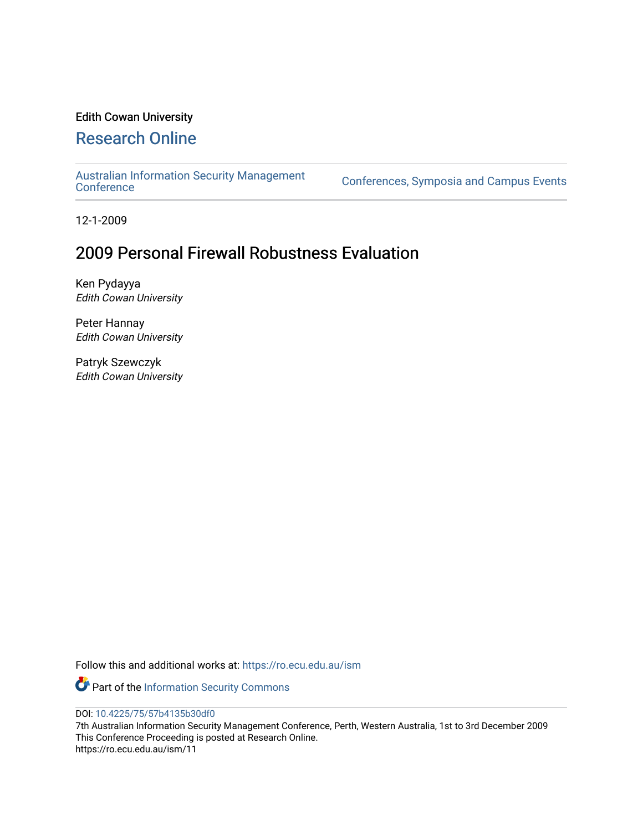## Edith Cowan University

# [Research Online](https://ro.ecu.edu.au/)

[Australian Information Security Management](https://ro.ecu.edu.au/ism) 

[Conference](https://ro.ecu.edu.au/ism)s, Symposia and Campus Events

12-1-2009

# 2009 Personal Firewall Robustness Evaluation

Ken Pydayya Edith Cowan University

Peter Hannay Edith Cowan University

Patryk Szewczyk Edith Cowan University

Follow this and additional works at: [https://ro.ecu.edu.au/ism](https://ro.ecu.edu.au/ism?utm_source=ro.ecu.edu.au%2Fism%2F11&utm_medium=PDF&utm_campaign=PDFCoverPages) 

Part of the [Information Security Commons](http://network.bepress.com/hgg/discipline/1247?utm_source=ro.ecu.edu.au%2Fism%2F11&utm_medium=PDF&utm_campaign=PDFCoverPages) 

DOI: [10.4225/75/57b4135b30df0](https://doi.org/10.4225/75/57b4135b30df0) 

7th Australian Information Security Management Conference, Perth, Western Australia, 1st to 3rd December 2009 This Conference Proceeding is posted at Research Online. https://ro.ecu.edu.au/ism/11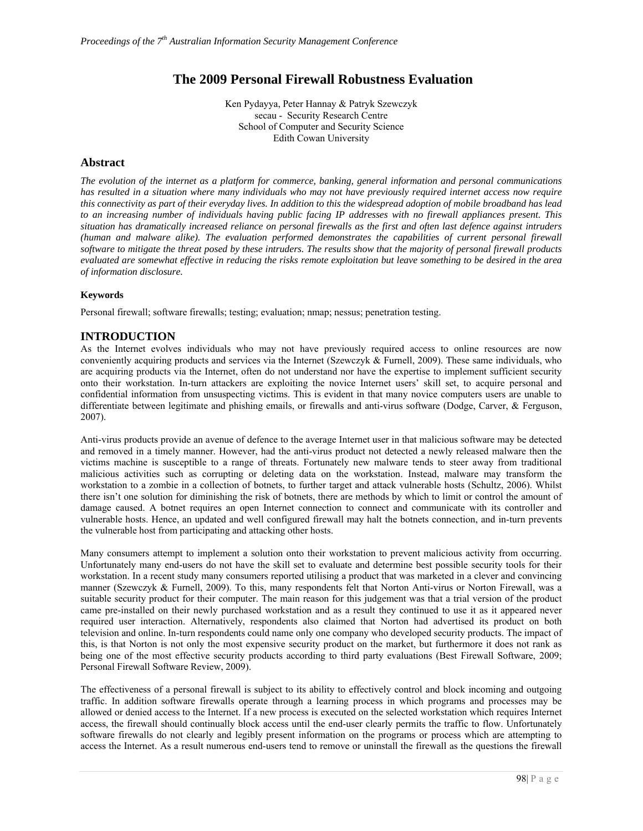## **The 2009 Personal Firewall Robustness Evaluation**

Ken Pydayya, Peter Hannay & Patryk Szewczyk secau - Security Research Centre School of Computer and Security Science Edith Cowan University

#### **Abstract**

*The evolution of the internet as a platform for commerce, banking, general information and personal communications has resulted in a situation where many individuals who may not have previously required internet access now require this connectivity as part of their everyday lives. In addition to this the widespread adoption of mobile broadband has lead to an increasing number of individuals having public facing IP addresses with no firewall appliances present. This situation has dramatically increased reliance on personal firewalls as the first and often last defence against intruders (human and malware alike). The evaluation performed demonstrates the capabilities of current personal firewall software to mitigate the threat posed by these intruders. The results show that the majority of personal firewall products evaluated are somewhat effective in reducing the risks remote exploitation but leave something to be desired in the area of information disclosure.* 

#### **Keywords**

Personal firewall; software firewalls; testing; evaluation; nmap; nessus; penetration testing.

#### **INTRODUCTION**

As the Internet evolves individuals who may not have previously required access to online resources are now conveniently acquiring products and services via the Internet (Szewczyk & Furnell, 2009). These same individuals, who are acquiring products via the Internet, often do not understand nor have the expertise to implement sufficient security onto their workstation. In-turn attackers are exploiting the novice Internet users' skill set, to acquire personal and confidential information from unsuspecting victims. This is evident in that many novice computers users are unable to differentiate between legitimate and phishing emails, or firewalls and anti-virus software (Dodge, Carver, & Ferguson, 2007).

Anti-virus products provide an avenue of defence to the average Internet user in that malicious software may be detected and removed in a timely manner. However, had the anti-virus product not detected a newly released malware then the victims machine is susceptible to a range of threats. Fortunately new malware tends to steer away from traditional malicious activities such as corrupting or deleting data on the workstation. Instead, malware may transform the workstation to a zombie in a collection of botnets, to further target and attack vulnerable hosts (Schultz, 2006). Whilst there isn't one solution for diminishing the risk of botnets, there are methods by which to limit or control the amount of damage caused. A botnet requires an open Internet connection to connect and communicate with its controller and vulnerable hosts. Hence, an updated and well configured firewall may halt the botnets connection, and in-turn prevents the vulnerable host from participating and attacking other hosts.

Many consumers attempt to implement a solution onto their workstation to prevent malicious activity from occurring. Unfortunately many end-users do not have the skill set to evaluate and determine best possible security tools for their workstation. In a recent study many consumers reported utilising a product that was marketed in a clever and convincing manner (Szewczyk & Furnell, 2009). To this, many respondents felt that Norton Anti-virus or Norton Firewall, was a suitable security product for their computer. The main reason for this judgement was that a trial version of the product came pre-installed on their newly purchased workstation and as a result they continued to use it as it appeared never required user interaction. Alternatively, respondents also claimed that Norton had advertised its product on both television and online. In-turn respondents could name only one company who developed security products. The impact of this, is that Norton is not only the most expensive security product on the market, but furthermore it does not rank as being one of the most effective security products according to third party evaluations (Best Firewall Software, 2009; Personal Firewall Software Review, 2009).

The effectiveness of a personal firewall is subject to its ability to effectively control and block incoming and outgoing traffic. In addition software firewalls operate through a learning process in which programs and processes may be allowed or denied access to the Internet. If a new process is executed on the selected workstation which requires Internet access, the firewall should continually block access until the end-user clearly permits the traffic to flow. Unfortunately software firewalls do not clearly and legibly present information on the programs or process which are attempting to access the Internet. As a result numerous end-users tend to remove or uninstall the firewall as the questions the firewall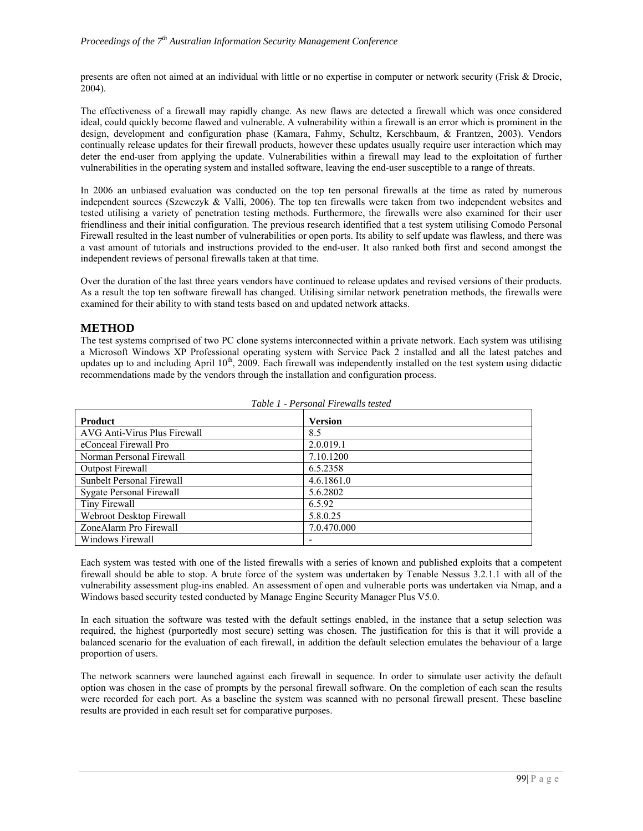presents are often not aimed at an individual with little or no expertise in computer or network security (Frisk & Drocic, 2004).

The effectiveness of a firewall may rapidly change. As new flaws are detected a firewall which was once considered ideal, could quickly become flawed and vulnerable. A vulnerability within a firewall is an error which is prominent in the design, development and configuration phase (Kamara, Fahmy, Schultz, Kerschbaum, & Frantzen, 2003). Vendors continually release updates for their firewall products, however these updates usually require user interaction which may deter the end-user from applying the update. Vulnerabilities within a firewall may lead to the exploitation of further vulnerabilities in the operating system and installed software, leaving the end-user susceptible to a range of threats.

In 2006 an unbiased evaluation was conducted on the top ten personal firewalls at the time as rated by numerous independent sources (Szewczyk & Valli, 2006). The top ten firewalls were taken from two independent websites and tested utilising a variety of penetration testing methods. Furthermore, the firewalls were also examined for their user friendliness and their initial configuration. The previous research identified that a test system utilising Comodo Personal Firewall resulted in the least number of vulnerabilities or open ports. Its ability to self update was flawless, and there was a vast amount of tutorials and instructions provided to the end-user. It also ranked both first and second amongst the independent reviews of personal firewalls taken at that time.

Over the duration of the last three years vendors have continued to release updates and revised versions of their products. As a result the top ten software firewall has changed. Utilising similar network penetration methods, the firewalls were examined for their ability to with stand tests based on and updated network attacks.

#### **METHOD**

The test systems comprised of two PC clone systems interconnected within a private network. Each system was utilising a Microsoft Windows XP Professional operating system with Service Pack 2 installed and all the latest patches and updates up to and including April  $10<sup>th</sup>$ , 2009. Each firewall was independently installed on the test system using didactic recommendations made by the vendors through the installation and configuration process.

| Product                      | <b>Version</b> |
|------------------------------|----------------|
| AVG Anti-Virus Plus Firewall | 8.5            |
| eConceal Firewall Pro        | 2.0.019.1      |
| Norman Personal Firewall     | 7.10.1200      |
| <b>Outpost Firewall</b>      | 6.5.2358       |
| Sunbelt Personal Firewall    | 4.6.1861.0     |
| Sygate Personal Firewall     | 5.6.2802       |
| Tiny Firewall                | 6.5.92         |
| Webroot Desktop Firewall     | 5.8.0.25       |
| ZoneAlarm Pro Firewall       | 7.0.470.000    |
| Windows Firewall             | ۰              |

| Table 1 - Personal Firewalls tested |  |
|-------------------------------------|--|
|-------------------------------------|--|

Each system was tested with one of the listed firewalls with a series of known and published exploits that a competent firewall should be able to stop. A brute force of the system was undertaken by Tenable Nessus 3.2.1.1 with all of the vulnerability assessment plug-ins enabled. An assessment of open and vulnerable ports was undertaken via Nmap, and a Windows based security tested conducted by Manage Engine Security Manager Plus V5.0.

In each situation the software was tested with the default settings enabled, in the instance that a setup selection was required, the highest (purportedly most secure) setting was chosen. The justification for this is that it will provide a balanced scenario for the evaluation of each firewall, in addition the default selection emulates the behaviour of a large proportion of users.

The network scanners were launched against each firewall in sequence. In order to simulate user activity the default option was chosen in the case of prompts by the personal firewall software. On the completion of each scan the results were recorded for each port. As a baseline the system was scanned with no personal firewall present. These baseline results are provided in each result set for comparative purposes.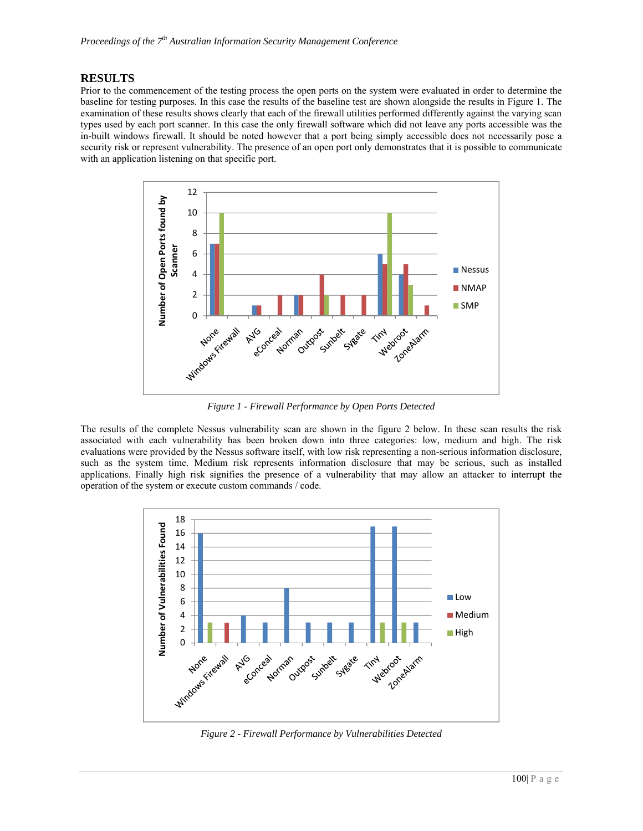#### **RESULTS**

Prior to the commencement of the testing process the open ports on the system were evaluated in order to determine the baseline for testing purposes. In this case the results of the baseline test are shown alongside the results in Figure 1. The examination of these results shows clearly that each of the firewall utilities performed differently against the varying scan types used by each port scanner. In this case the only firewall software which did not leave any ports accessible was the in-built windows firewall. It should be noted however that a port being simply accessible does not necessarily pose a security risk or represent vulnerability. The presence of an open port only demonstrates that it is possible to communicate with an application listening on that specific port.



*Figure 1 - Firewall Performance by Open Ports Detected* 

The results of the complete Nessus vulnerability scan are shown in the figure 2 below. In these scan results the risk associated with each vulnerability has been broken down into three categories: low, medium and high. The risk evaluations were provided by the Nessus software itself, with low risk representing a non-serious information disclosure, such as the system time. Medium risk represents information disclosure that may be serious, such as installed applications. Finally high risk signifies the presence of a vulnerability that may allow an attacker to interrupt the operation of the system or execute custom commands / code.



*Figure 2 - Firewall Performance by Vulnerabilities Detected*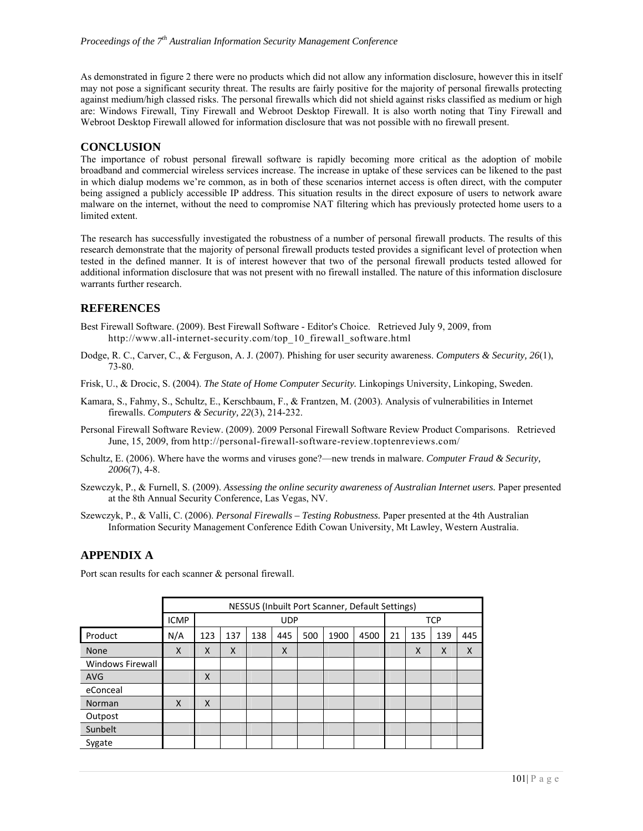As demonstrated in figure 2 there were no products which did not allow any information disclosure, however this in itself may not pose a significant security threat. The results are fairly positive for the majority of personal firewalls protecting against medium/high classed risks. The personal firewalls which did not shield against risks classified as medium or high are: Windows Firewall, Tiny Firewall and Webroot Desktop Firewall. It is also worth noting that Tiny Firewall and Webroot Desktop Firewall allowed for information disclosure that was not possible with no firewall present.

#### **CONCLUSION**

The importance of robust personal firewall software is rapidly becoming more critical as the adoption of mobile broadband and commercial wireless services increase. The increase in uptake of these services can be likened to the past in which dialup modems we're common, as in both of these scenarios internet access is often direct, with the computer being assigned a publicly accessible IP address. This situation results in the direct exposure of users to network aware malware on the internet, without the need to compromise NAT filtering which has previously protected home users to a limited extent.

The research has successfully investigated the robustness of a number of personal firewall products. The results of this research demonstrate that the majority of personal firewall products tested provides a significant level of protection when tested in the defined manner. It is of interest however that two of the personal firewall products tested allowed for additional information disclosure that was not present with no firewall installed. The nature of this information disclosure warrants further research.

#### **REFERENCES**

- Best Firewall Software. (2009). Best Firewall Software Editor's Choice. Retrieved July 9, 2009, from http://www.all-internet-security.com/top\_10\_firewall\_software.html
- Dodge, R. C., Carver, C., & Ferguson, A. J. (2007). Phishing for user security awareness. *Computers & Security, 26*(1), 73-80.
- Frisk, U., & Drocic, S. (2004). *The State of Home Computer Security.* Linkopings University, Linkoping, Sweden.
- Kamara, S., Fahmy, S., Schultz, E., Kerschbaum, F., & Frantzen, M. (2003). Analysis of vulnerabilities in Internet firewalls. *Computers & Security, 22*(3), 214-232.
- Personal Firewall Software Review. (2009). 2009 Personal Firewall Software Review Product Comparisons. Retrieved June, 15, 2009, from http://personal-firewall-software-review.toptenreviews.com/
- Schultz, E. (2006). Where have the worms and viruses gone?—new trends in malware. *Computer Fraud & Security, 2006*(7), 4-8.
- Szewczyk, P., & Furnell, S. (2009). *Assessing the online security awareness of Australian Internet users.* Paper presented at the 8th Annual Security Conference, Las Vegas, NV.

Szewczyk, P., & Valli, C. (2006). *Personal Firewalls – Testing Robustness.* Paper presented at the 4th Australian Information Security Management Conference Edith Cowan University, Mt Lawley, Western Australia.

#### **APPENDIX A**

|                  |             |     | NESSUS (Inbuilt Port Scanner, Default Settings) |     |     |     |      |      |    |            |     |     |  |
|------------------|-------------|-----|-------------------------------------------------|-----|-----|-----|------|------|----|------------|-----|-----|--|
|                  | <b>ICMP</b> |     | <b>UDP</b>                                      |     |     |     |      |      |    | <b>TCP</b> |     |     |  |
| Product          | N/A         | 123 | 137                                             | 138 | 445 | 500 | 1900 | 4500 | 21 | 135        | 139 | 445 |  |
| None             | X           | X   | X                                               |     | X   |     |      |      |    | X          | X   | X   |  |
| Windows Firewall |             |     |                                                 |     |     |     |      |      |    |            |     |     |  |
| <b>AVG</b>       |             | X   |                                                 |     |     |     |      |      |    |            |     |     |  |
| eConceal         |             |     |                                                 |     |     |     |      |      |    |            |     |     |  |
| Norman           | X           | X   |                                                 |     |     |     |      |      |    |            |     |     |  |
| Outpost          |             |     |                                                 |     |     |     |      |      |    |            |     |     |  |
| Sunbelt          |             |     |                                                 |     |     |     |      |      |    |            |     |     |  |
| Sygate           |             |     |                                                 |     |     |     |      |      |    |            |     |     |  |

Port scan results for each scanner & personal firewall.